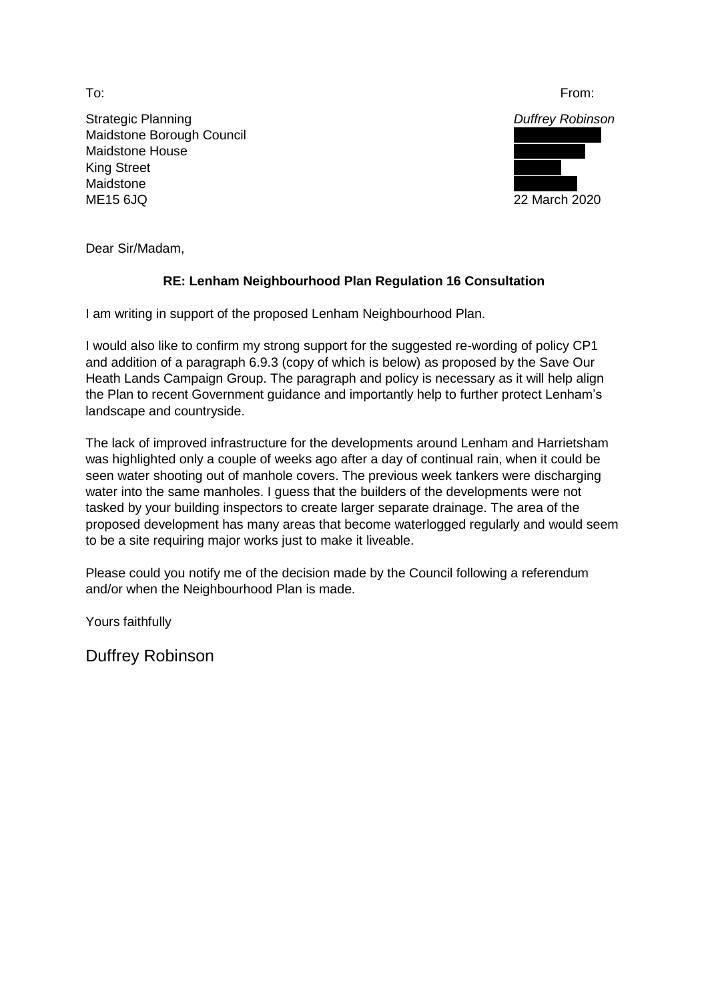Strategic Planning *Duffrey Robinson* Maidstone Borough Council **Maidstone House King Street** Maidstone **Manual Accounts and Accounts and Accounts and Accounts and Accounts and Accounts and Accounts and Accounts and Accounts and Accounts and Accounts and Accounts and Accounts and Accounts and Accounts and Accounts** ME15 6JQ 22 March 2020



Dear Sir/Madam,

## **RE: Lenham Neighbourhood Plan Regulation 16 Consultation**

I am writing in support of the proposed Lenham Neighbourhood Plan.

I would also like to confirm my strong support for the suggested re-wording of policy CP1 and addition of a paragraph 6.9.3 (copy of which is below) as proposed by the Save Our Heath Lands Campaign Group. The paragraph and policy is necessary as it will help align the Plan to recent Government guidance and importantly help to further protect Lenham's landscape and countryside.

The lack of improved infrastructure for the developments around Lenham and Harrietsham was highlighted only a couple of weeks ago after a day of continual rain, when it could be seen water shooting out of manhole covers. The previous week tankers were discharging water into the same manholes. I guess that the builders of the developments were not tasked by your building inspectors to create larger separate drainage. The area of the proposed development has many areas that become waterlogged regularly and would seem to be a site requiring major works just to make it liveable.

Please could you notify me of the decision made by the Council following a referendum and/or when the Neighbourhood Plan is made.

Yours faithfully

Duffrey Robinson